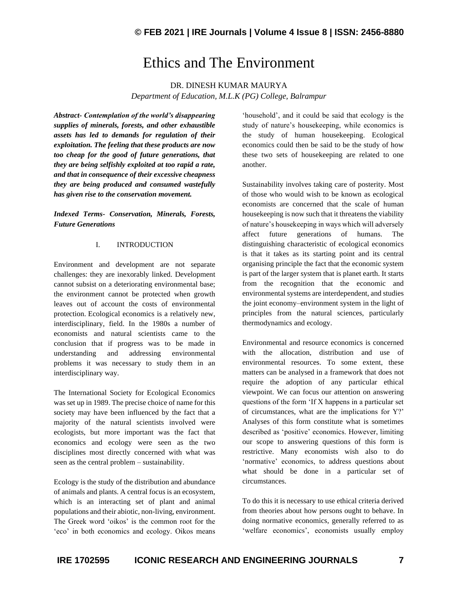## Ethics and The Environment

DR. DINESH KUMAR MAURYA

*Department of Education, M.L.K (PG) College, Balrampur*

*Abstract- Contemplation of the world's disappearing supplies of minerals, forests, and other exhaustible assets has led to demands for regulation of their exploitation. The feeling that these products are now too cheap for the good of future generations, that they are being selfishly exploited at too rapid a rate, and that in consequence of their excessive cheapness they are being produced and consumed wastefully has given rise to the conservation movement.*

*Indexed Terms- Conservation, Minerals, Forests, Future Generations*

## I. INTRODUCTION

Environment and development are not separate challenges: they are inexorably linked. Development cannot subsist on a deteriorating environmental base; the environment cannot be protected when growth leaves out of account the costs of environmental protection. Ecological economics is a relatively new, interdisciplinary, field. In the 1980s a number of economists and natural scientists came to the conclusion that if progress was to be made in understanding and addressing environmental problems it was necessary to study them in an interdisciplinary way.

The International Society for Ecological Economics was set up in 1989. The precise choice of name for this society may have been influenced by the fact that a majority of the natural scientists involved were ecologists, but more important was the fact that economics and ecology were seen as the two disciplines most directly concerned with what was seen as the central problem – sustainability.

Ecology is the study of the distribution and abundance of animals and plants. A central focus is an ecosystem, which is an interacting set of plant and animal populations and their abiotic, non-living, environment. The Greek word 'oikos' is the common root for the 'eco' in both economics and ecology. Oikos means 'household', and it could be said that ecology is the study of nature's housekeeping, while economics is the study of human housekeeping. Ecological economics could then be said to be the study of how these two sets of housekeeping are related to one another.

Sustainability involves taking care of posterity. Most of those who would wish to be known as ecological economists are concerned that the scale of human housekeeping is now such that it threatens the viability of nature's housekeeping in ways which will adversely affect future generations of humans. The distinguishing characteristic of ecological economics is that it takes as its starting point and its central organising principle the fact that the economic system is part of the larger system that is planet earth. It starts from the recognition that the economic and environmental systems are interdependent, and studies the joint economy–environment system in the light of principles from the natural sciences, particularly thermodynamics and ecology.

Environmental and resource economics is concerned with the allocation, distribution and use of environmental resources. To some extent, these matters can be analysed in a framework that does not require the adoption of any particular ethical viewpoint. We can focus our attention on answering questions of the form 'If X happens in a particular set of circumstances, what are the implications for Y?' Analyses of this form constitute what is sometimes described as 'positive' economics. However, limiting our scope to answering questions of this form is restrictive. Many economists wish also to do 'normative' economics, to address questions about what should be done in a particular set of circumstances.

To do this it is necessary to use ethical criteria derived from theories about how persons ought to behave. In doing normative economics, generally referred to as 'welfare economics', economists usually employ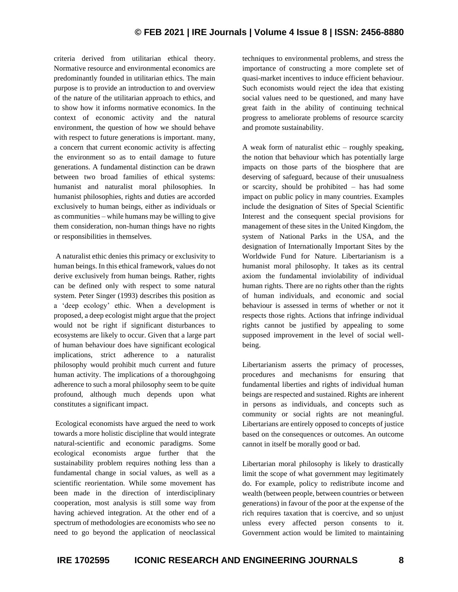## **© FEB 2021 | IRE Journals | Volume 4 Issue 8 | ISSN: 2456-8880**

criteria derived from utilitarian ethical theory. Normative resource and environmental economics are predominantly founded in utilitarian ethics. The main purpose is to provide an introduction to and overview of the nature of the utilitarian approach to ethics, and to show how it informs normative economics. In the context of economic activity and the natural environment, the question of how we should behave with respect to future generations is important. many, a concern that current economic activity is affecting the environment so as to entail damage to future generations. A fundamental distinction can be drawn between two broad families of ethical systems: humanist and naturalist moral philosophies. In humanist philosophies, rights and duties are accorded exclusively to human beings, either as individuals or as communities – while humans may be willing to give them consideration, non-human things have no rights or responsibilities in themselves.

A naturalist ethic denies this primacy or exclusivity to human beings. In this ethical framework, values do not derive exclusively from human beings. Rather, rights can be defined only with respect to some natural system. Peter Singer (1993) describes this position as a 'deep ecology' ethic. When a development is proposed, a deep ecologist might argue that the project would not be right if significant disturbances to ecosystems are likely to occur. Given that a large part of human behaviour does have significant ecological implications, strict adherence to a naturalist philosophy would prohibit much current and future human activity. The implications of a thoroughgoing adherence to such a moral philosophy seem to be quite profound, although much depends upon what constitutes a significant impact.

Ecological economists have argued the need to work towards a more holistic discipline that would integrate natural-scientific and economic paradigms. Some ecological economists argue further that the sustainability problem requires nothing less than a fundamental change in social values, as well as a scientific reorientation. While some movement has been made in the direction of interdisciplinary cooperation, most analysis is still some way from having achieved integration. At the other end of a spectrum of methodologies are economists who see no need to go beyond the application of neoclassical

techniques to environmental problems, and stress the importance of constructing a more complete set of quasi-market incentives to induce efficient behaviour. Such economists would reject the idea that existing social values need to be questioned, and many have great faith in the ability of continuing technical progress to ameliorate problems of resource scarcity and promote sustainability.

A weak form of naturalist ethic – roughly speaking, the notion that behaviour which has potentially large impacts on those parts of the biosphere that are deserving of safeguard, because of their unusualness or scarcity, should be prohibited – has had some impact on public policy in many countries. Examples include the designation of Sites of Special Scientific Interest and the consequent special provisions for management of these sites in the United Kingdom, the system of National Parks in the USA, and the designation of Internationally Important Sites by the Worldwide Fund for Nature. Libertarianism is a humanist moral philosophy. It takes as its central axiom the fundamental inviolability of individual human rights. There are no rights other than the rights of human individuals, and economic and social behaviour is assessed in terms of whether or not it respects those rights. Actions that infringe individual rights cannot be justified by appealing to some supposed improvement in the level of social wellbeing.

Libertarianism asserts the primacy of processes, procedures and mechanisms for ensuring that fundamental liberties and rights of individual human beings are respected and sustained. Rights are inherent in persons as individuals, and concepts such as community or social rights are not meaningful. Libertarians are entirely opposed to concepts of justice based on the consequences or outcomes. An outcome cannot in itself be morally good or bad.

Libertarian moral philosophy is likely to drastically limit the scope of what government may legitimately do. For example, policy to redistribute income and wealth (between people, between countries or between generations) in favour of the poor at the expense of the rich requires taxation that is coercive, and so unjust unless every affected person consents to it. Government action would be limited to maintaining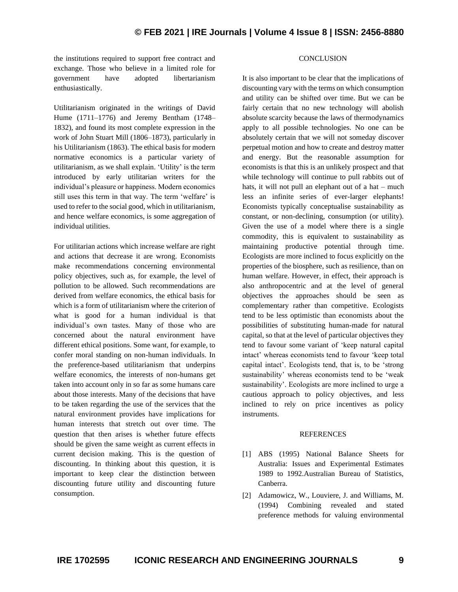the institutions required to support free contract and exchange. Those who believe in a limited role for government have adopted libertarianism enthusiastically.

Utilitarianism originated in the writings of David Hume (1711–1776) and Jeremy Bentham (1748– 1832), and found its most complete expression in the work of John Stuart Mill (1806–1873), particularly in his Utilitarianism (1863). The ethical basis for modern normative economics is a particular variety of utilitarianism, as we shall explain. 'Utility' is the term introduced by early utilitarian writers for the individual's pleasure or happiness. Modern economics still uses this term in that way. The term 'welfare' is used to refer to the social good, which in utilitarianism, and hence welfare economics, is some aggregation of individual utilities.

For utilitarian actions which increase welfare are right and actions that decrease it are wrong. Economists make recommendations concerning environmental policy objectives, such as, for example, the level of pollution to be allowed. Such recommendations are derived from welfare economics, the ethical basis for which is a form of utilitarianism where the criterion of what is good for a human individual is that individual's own tastes. Many of those who are concerned about the natural environment have different ethical positions. Some want, for example, to confer moral standing on non-human individuals. In the preference-based utilitarianism that underpins welfare economics, the interests of non-humans get taken into account only in so far as some humans care about those interests. Many of the decisions that have to be taken regarding the use of the services that the natural environment provides have implications for human interests that stretch out over time. The question that then arises is whether future effects should be given the same weight as current effects in current decision making. This is the question of discounting. In thinking about this question, it is important to keep clear the distinction between discounting future utility and discounting future consumption.

It is also important to be clear that the implications of discounting vary with the terms on which consumption and utility can be shifted over time. But we can be fairly certain that no new technology will abolish absolute scarcity because the laws of thermodynamics apply to all possible technologies. No one can be absolutely certain that we will not someday discover perpetual motion and how to create and destroy matter and energy. But the reasonable assumption for economists is that this is an unlikely prospect and that while technology will continue to pull rabbits out of hats, it will not pull an elephant out of a hat – much less an infinite series of ever-larger elephants! Economists typically conceptualise sustainability as constant, or non-declining, consumption (or utility). Given the use of a model where there is a single commodity, this is equivalent to sustainability as maintaining productive potential through time. Ecologists are more inclined to focus explicitly on the properties of the biosphere, such as resilience, than on human welfare. However, in effect, their approach is also anthropocentric and at the level of general objectives the approaches should be seen as complementary rather than competitive. Ecologists tend to be less optimistic than economists about the possibilities of substituting human-made for natural capital, so that at the level of particular objectives they tend to favour some variant of 'keep natural capital intact' whereas economists tend to favour 'keep total capital intact'. Ecologists tend, that is, to be 'strong sustainability' whereas economists tend to be 'weak sustainability'. Ecologists are more inclined to urge a cautious approach to policy objectives, and less inclined to rely on price incentives as policy instruments.

**CONCLUSION** 

## REFERENCES

- [1] ABS (1995) National Balance Sheets for Australia: Issues and Experimental Estimates 1989 to 1992.Australian Bureau of Statistics, Canberra.
- [2] Adamowicz, W., Louviere, J. and Williams, M. (1994) Combining revealed and stated preference methods for valuing environmental